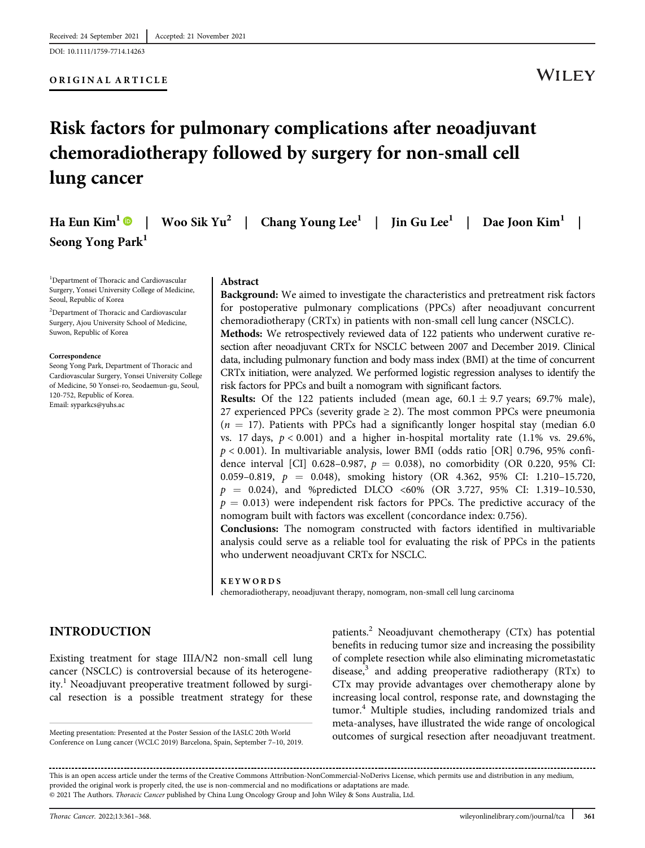DOI: 10.1111/1759-7714.14263

#### ORIGINAL ARTICLE

## WILEY

# Risk factors for pulmonary complications after neoadjuvant chemoradiotherapy followed by surgery for non-small cell lung cancer

|                              | Ha Eun Kim <sup>1</sup> •   Woo Sik Yu <sup>2</sup>   Chang Young Lee <sup>1</sup>   Jin Gu Lee <sup>1</sup>   Dae Joon Kim <sup>1</sup> |  |
|------------------------------|------------------------------------------------------------------------------------------------------------------------------------------|--|
| Seong Yong Park <sup>1</sup> |                                                                                                                                          |  |

1 Department of Thoracic and Cardiovascular Surgery, Yonsei University College of Medicine, Seoul, Republic of Korea

2 Department of Thoracic and Cardiovascular Surgery, Ajou University School of Medicine, Suwon, Republic of Korea

Correspondence

Seong Yong Park, Department of Thoracic and Cardiovascular Surgery, Yonsei University College of Medicine, 50 Yonsei-ro, Seodaemun-gu, Seoul, 120-752, Republic of Korea. Email: [syparkcs@yuhs.ac](mailto:syparkcs@yuhs.ac)

#### Abstract

Background: We aimed to investigate the characteristics and pretreatment risk factors for postoperative pulmonary complications (PPCs) after neoadjuvant concurrent chemoradiotherapy (CRTx) in patients with non-small cell lung cancer (NSCLC).

Methods: We retrospectively reviewed data of 122 patients who underwent curative resection after neoadjuvant CRTx for NSCLC between 2007 and December 2019. Clinical data, including pulmonary function and body mass index (BMI) at the time of concurrent CRTx initiation, were analyzed. We performed logistic regression analyses to identify the risk factors for PPCs and built a nomogram with significant factors.

**Results:** Of the 122 patients included (mean age,  $60.1 \pm 9.7$  years; 69.7% male), 27 experienced PPCs (severity grade  $\geq$  2). The most common PPCs were pneumonia  $(n = 17)$ . Patients with PPCs had a significantly longer hospital stay (median 6.0) vs. 17 days,  $p < 0.001$ ) and a higher in-hospital mortality rate (1.1% vs. 29.6%,  $p < 0.001$ ). In multivariable analysis, lower BMI (odds ratio [OR] 0.796, 95% confidence interval [CI] 0.628-0.987,  $p = 0.038$ ), no comorbidity (OR 0.220, 95% CI: 0.059–0.819,  $p = 0.048$ ), smoking history (OR 4.362, 95% CI: 1.210–15.720,  $p = 0.024$ , and %predicted DLCO <60% (OR 3.727, 95% CI: 1.319-10.530,  $p = 0.013$ ) were independent risk factors for PPCs. The predictive accuracy of the nomogram built with factors was excellent (concordance index: 0.756).

Conclusions: The nomogram constructed with factors identified in multivariable analysis could serve as a reliable tool for evaluating the risk of PPCs in the patients who underwent neoadjuvant CRTx for NSCLC.

#### **KEYWORDS**

chemoradiotherapy, neoadjuvant therapy, nomogram, non-small cell lung carcinoma

## INTRODUCTION

Existing treatment for stage IIIA/N2 non-small cell lung cancer (NSCLC) is controversial because of its heterogeneity.<sup>1</sup> Neoadjuvant preoperative treatment followed by surgical resection is a possible treatment strategy for these

Conference on Lung cancer (WCLC 2019) Barcelona, Spain, September 7–10, 2019.

patients.<sup>2</sup> Neoadjuvant chemotherapy (CTx) has potential benefits in reducing tumor size and increasing the possibility of complete resection while also eliminating micrometastatic disease, $3$  and adding preoperative radiotherapy (RTx) to CTx may provide advantages over chemotherapy alone by increasing local control, response rate, and downstaging the tumor.<sup>4</sup> Multiple studies, including randomized trials and meta-analyses, have illustrated the wide range of oncological Meeting presentation: Presented at the Poster Session of the IASLC 20th World<br>
Outcomes of surgical resection after neoadjuvant treatment.

This is an open access article under the terms of the [Creative Commons Attribution-NonCommercial-NoDerivs](http://creativecommons.org/licenses/by-nc-nd/4.0/) License, which permits use and distribution in any medium, provided the original work is properly cited, the use is non-commercial and no modifications or adaptations are made. © 2021 The Authors. Thoracic Cancer published by China Lung Oncology Group and John Wiley & Sons Australia, Ltd.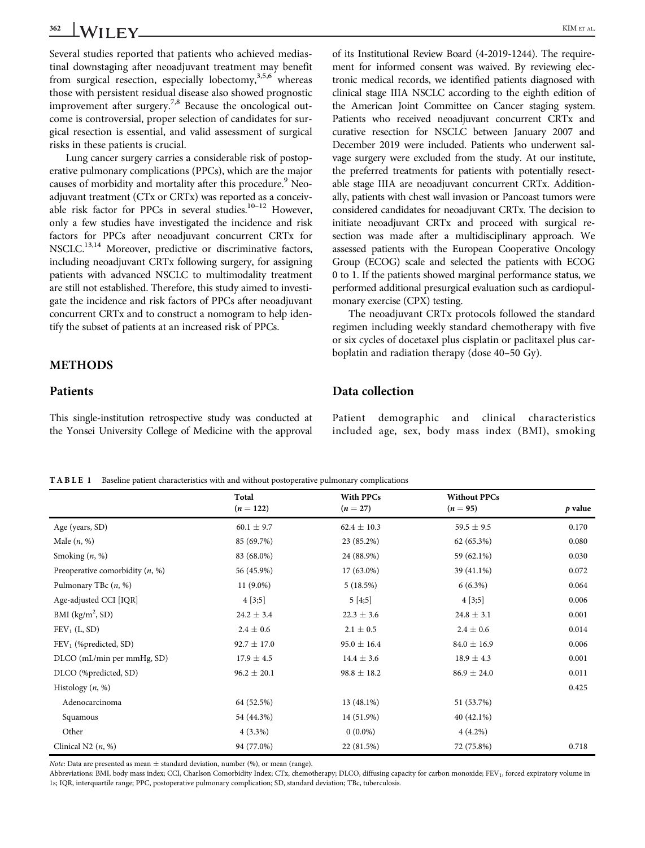Several studies reported that patients who achieved mediastinal downstaging after neoadjuvant treatment may benefit from surgical resection, especially lobectomy,  $3,5,6$  whereas those with persistent residual disease also showed prognostic improvement after surgery.<sup>7,8</sup> Because the oncological outcome is controversial, proper selection of candidates for surgical resection is essential, and valid assessment of surgical risks in these patients is crucial.

Lung cancer surgery carries a considerable risk of postoperative pulmonary complications (PPCs), which are the major causes of morbidity and mortality after this procedure.<sup>9</sup> Neoadjuvant treatment (CTx or CRTx) was reported as a conceivable risk factor for PPCs in several studies.<sup>10-12</sup> However, only a few studies have investigated the incidence and risk factors for PPCs after neoadjuvant concurrent CRTx for NSCLC.<sup>13,14</sup> Moreover, predictive or discriminative factors, including neoadjuvant CRTx following surgery, for assigning patients with advanced NSCLC to multimodality treatment are still not established. Therefore, this study aimed to investigate the incidence and risk factors of PPCs after neoadjuvant concurrent CRTx and to construct a nomogram to help identify the subset of patients at an increased risk of PPCs.

## METHODS

#### Patients

This single-institution retrospective study was conducted at the Yonsei University College of Medicine with the approval

of its Institutional Review Board (4-2019-1244). The requirement for informed consent was waived. By reviewing electronic medical records, we identified patients diagnosed with clinical stage IIIA NSCLC according to the eighth edition of the American Joint Committee on Cancer staging system. Patients who received neoadjuvant concurrent CRTx and curative resection for NSCLC between January 2007 and December 2019 were included. Patients who underwent salvage surgery were excluded from the study. At our institute, the preferred treatments for patients with potentially resectable stage IIIA are neoadjuvant concurrent CRTx. Additionally, patients with chest wall invasion or Pancoast tumors were considered candidates for neoadjuvant CRTx. The decision to initiate neoadjuvant CRTx and proceed with surgical resection was made after a multidisciplinary approach. We assessed patients with the European Cooperative Oncology Group (ECOG) scale and selected the patients with ECOG 0 to 1. If the patients showed marginal performance status, we performed additional presurgical evaluation such as cardiopulmonary exercise (CPX) testing.

The neoadjuvant CRTx protocols followed the standard regimen including weekly standard chemotherapy with five or six cycles of docetaxel plus cisplatin or paclitaxel plus carboplatin and radiation therapy (dose 40–50 Gy).

## Data collection

Patient demographic and clinical characteristics included age, sex, body mass index (BMI), smoking

TABLE 1 Baseline patient characteristics with and without postoperative pulmonary complications

|                                   | Total<br>$(n = 122)$ | <b>With PPCs</b><br>$(n = 27)$ | <b>Without PPCs</b><br>$(n = 95)$ | $p$ value |
|-----------------------------------|----------------------|--------------------------------|-----------------------------------|-----------|
|                                   |                      |                                |                                   |           |
| Age (years, SD)                   | $60.1 \pm 9.7$       | $62.4 \pm 10.3$                | $59.5 \pm 9.5$                    | 0.170     |
| Male $(n, %)$                     | 85 (69.7%)           | 23 (85.2%)                     | 62 (65.3%)                        | 0.080     |
| Smoking $(n, %)$                  | 83 (68.0%)           | 24 (88.9%)                     | 59 (62.1%)                        | 0.030     |
| Preoperative comorbidity $(n, %)$ | 56 (45.9%)           | 17 (63.0%)                     | 39 (41.1%)                        | 0.072     |
| Pulmonary TBc $(n, %)$            | $11(9.0\%)$          | 5(18.5%)                       | $6(6.3\%)$                        | 0.064     |
| Age-adjusted CCI [IQR]            | 4 [3;5]              | 5[4;5]                         | 4 [3;5]                           | 0.006     |
| BMI $(kg/m^2, SD)$                | $24.2 \pm 3.4$       | $22.3 \pm 3.6$                 | $24.8 \pm 3.1$                    | 0.001     |
| $FEV1$ (L, SD)                    | $2.4 \pm 0.6$        | $2.1 \pm 0.5$                  | $2.4 \pm 0.6$                     | 0.014     |
| FEV <sub>1</sub> (%predicted, SD) | $92.7 \pm 17.0$      | $95.0 \pm 16.4$                | $84.0 \pm 16.9$                   | 0.006     |
| DLCO (mL/min per mmHg, SD)        | $17.9 \pm 4.5$       | $14.4 \pm 3.6$                 | $18.9 \pm 4.3$                    | 0.001     |
| DLCO (%predicted, SD)             | $96.2 \pm 20.1$      | $98.8 \pm 18.2$                | $86.9 \pm 24.0$                   | 0.011     |
| Histology $(n, %)$                |                      |                                |                                   | 0.425     |
| Adenocarcinoma                    | 64 (52.5%)           | 13 (48.1%)                     | 51 (53.7%)                        |           |
| Squamous                          | 54 (44.3%)           | 14 (51.9%)                     | $40(42.1\%)$                      |           |
| Other                             | $4(3.3\%)$           | $0(0.0\%)$                     | $4(4.2\%)$                        |           |
| Clinical N2 $(n, %)$              | 94 (77.0%)           | 22 (81.5%)                     | 72 (75.8%)                        | 0.718     |

*Note*: Data are presented as mean  $\pm$  standard deviation, number (%), or mean (range).

Abbreviations: BMI, body mass index; CCI, Charlson Comorbidity Index; CTx, chemotherapy; DLCO, diffusing capacity for carbon monoxide; FEV<sub>1</sub>, forced expiratory volume in 1s; IQR, interquartile range; PPC, postoperative pulmonary complication; SD, standard deviation; TBc, tuberculosis.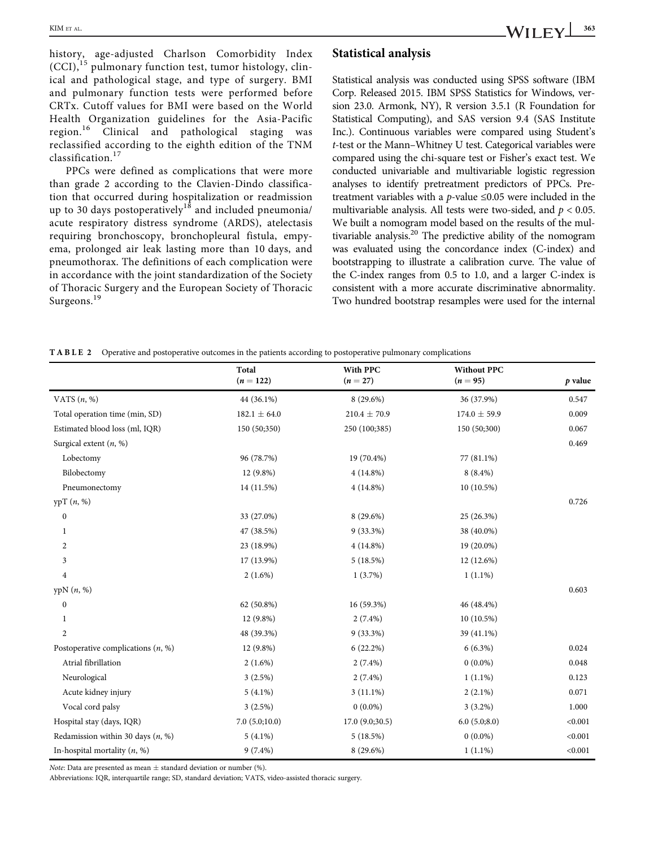history, age-adjusted Charlson Comorbidity Index  $(CCI)$ ,<sup>15</sup> pulmonary function test, tumor histology, clinical and pathological stage, and type of surgery. BMI and pulmonary function tests were performed before CRTx. Cutoff values for BMI were based on the World Health Organization guidelines for the Asia-Pacific Clinical and pathological staging was reclassified according to the eighth edition of the TNM classification.<sup>17</sup>

PPCs were defined as complications that were more than grade 2 according to the Clavien-Dindo classification that occurred during hospitalization or readmission up to 30 days postoperatively<sup>18</sup> and included pneumonia/ acute respiratory distress syndrome (ARDS), atelectasis requiring bronchoscopy, bronchopleural fistula, empyema, prolonged air leak lasting more than 10 days, and pneumothorax. The definitions of each complication were in accordance with the joint standardization of the Society of Thoracic Surgery and the European Society of Thoracic Surgeons.<sup>19</sup>

#### Statistical analysis

Statistical analysis was conducted using SPSS software (IBM Corp. Released 2015. IBM SPSS Statistics for Windows, version 23.0. Armonk, NY), R version 3.5.1 (R Foundation for Statistical Computing), and SAS version 9.4 (SAS Institute Inc.). Continuous variables were compared using Student's t-test or the Mann–Whitney U test. Categorical variables were compared using the chi-square test or Fisher's exact test. We conducted univariable and multivariable logistic regression analyses to identify pretreatment predictors of PPCs. Pretreatment variables with a *p*-value  $\leq 0.05$  were included in the multivariable analysis. All tests were two-sided, and  $p < 0.05$ . We built a nomogram model based on the results of the multivariable analysis.<sup>20</sup> The predictive ability of the nomogram was evaluated using the concordance index (C-index) and bootstrapping to illustrate a calibration curve. The value of the C-index ranges from 0.5 to 1.0, and a larger C-index is consistent with a more accurate discriminative abnormality. Two hundred bootstrap resamples were used for the internal

TABLE 2 Operative and postoperative outcomes in the patients according to postoperative pulmonary complications

|                                      | Total<br>$(n = 122)$ | <b>With PPC</b><br>$(n = 27)$ | <b>Without PPC</b><br>$(n = 95)$ | $p$ value |
|--------------------------------------|----------------------|-------------------------------|----------------------------------|-----------|
| VATS $(n, %)$                        | 44 (36.1%)           | 8 (29.6%)                     | 36 (37.9%)                       | 0.547     |
| Total operation time (min, SD)       | $182.1 \pm 64.0$     | $210.4 \pm 70.9$              | $174.0 \pm 59.9$                 | 0.009     |
| Estimated blood loss (ml, IQR)       | 150 (50;350)         | 250 (100;385)                 | 150 (50;300)                     | 0.067     |
| Surgical extent $(n, %)$             |                      |                               |                                  | 0.469     |
| Lobectomy                            | 96 (78.7%)           | 19 (70.4%)                    | 77 (81.1%)                       |           |
| Bilobectomy                          | 12 (9.8%)            | $4(14.8\%)$                   | $8(8.4\%)$                       |           |
| Pneumonectomy                        | 14 (11.5%)           | $4(14.8\%)$                   | $10(10.5\%)$                     |           |
| y p T (n, %)                         |                      |                               |                                  | 0.726     |
| $\boldsymbol{0}$                     | 33 (27.0%)           | 8 (29.6%)                     | 25 (26.3%)                       |           |
| 1                                    | 47 (38.5%)           | $9(33.3\%)$                   | 38 (40.0%)                       |           |
| 2                                    | 23 (18.9%)           | $4(14.8\%)$                   | 19 (20.0%)                       |           |
| 3                                    | 17 (13.9%)           | 5(18.5%)                      | 12 (12.6%)                       |           |
| $\overline{4}$                       | $2(1.6\%)$           | 1(3.7%)                       | $1(1.1\%)$                       |           |
| ypN(n, %)                            |                      |                               |                                  | 0.603     |
| $\boldsymbol{0}$                     | 62 (50.8%)           | 16 (59.3%)                    | 46 (48.4%)                       |           |
| 1                                    | 12 (9.8%)            | $2(7.4\%)$                    | $10(10.5\%)$                     |           |
| $\overline{c}$                       | 48 (39.3%)           | $9(33.3\%)$                   | 39 (41.1%)                       |           |
| Postoperative complications $(n, %)$ | 12 (9.8%)            | 6(22.2%)                      | $6(6.3\%)$                       | 0.024     |
| Atrial fibrillation                  | $2(1.6\%)$           | $2(7.4\%)$                    | $0(0.0\%)$                       | 0.048     |
| Neurological                         | 3(2.5%)              | $2(7.4\%)$                    | $1(1.1\%)$                       | 0.123     |
| Acute kidney injury                  | $5(4.1\%)$           | $3(11.1\%)$                   | $2(2.1\%)$                       | 0.071     |
| Vocal cord palsy                     | $3(2.5\%)$           | $0(0.0\%)$                    | $3(3.2\%)$                       | 1.000     |
| Hospital stay (days, IQR)            | 7.0(5.0;10.0)        | 17.0(9.0;30.5)                | 6.0(5.0;8.0)                     | < 0.001   |
| Redamission within 30 days $(n, %)$  | $5(4.1\%)$           | 5(18.5%)                      | $0(0.0\%)$                       | < 0.001   |
| In-hospital mortality $(n, %)$       | $9(7.4\%)$           | $8(29.6\%)$                   | $1(1.1\%)$                       | < 0.001   |

Note: Data are presented as mean  $\pm$  standard deviation or number (%).

Abbreviations: IQR, interquartile range; SD, standard deviation; VATS, video-assisted thoracic surgery.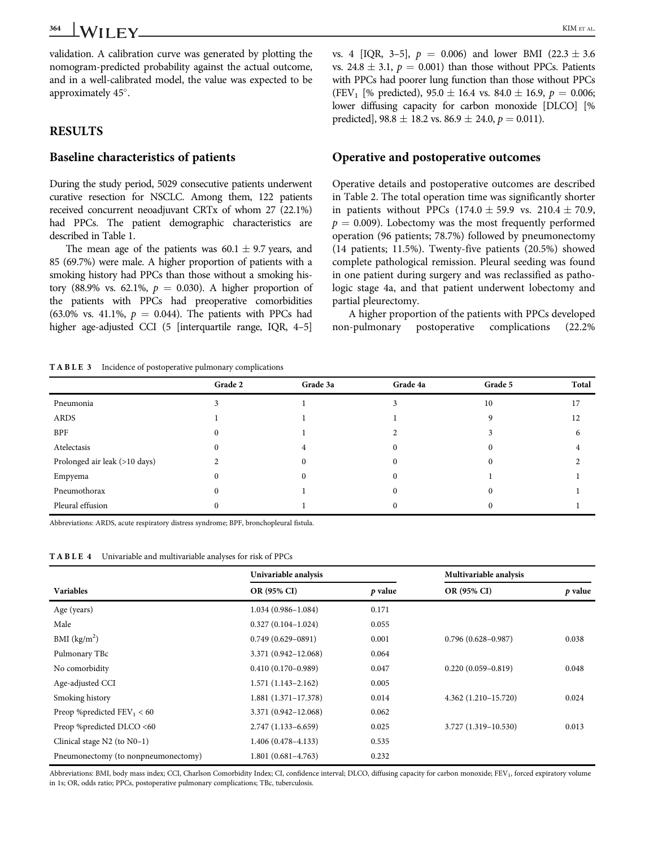validation. A calibration curve was generated by plotting the nomogram-predicted probability against the actual outcome, and in a well-calibrated model, the value was expected to be approximately 45°.

## RESULTS

#### Baseline characteristics of patients

During the study period, 5029 consecutive patients underwent curative resection for NSCLC. Among them, 122 patients received concurrent neoadjuvant CRTx of whom 27 (22.1%) had PPCs. The patient demographic characteristics are described in Table 1.

The mean age of the patients was  $60.1 \pm 9.7$  years, and 85 (69.7%) were male. A higher proportion of patients with a smoking history had PPCs than those without a smoking history (88.9% vs. 62.1%,  $p = 0.030$ ). A higher proportion of the patients with PPCs had preoperative comorbidities (63.0% vs. 41.1%,  $p = 0.044$ ). The patients with PPCs had higher age-adjusted CCI (5 [interquartile range, IQR, 4–5]

vs. 4 [IQR, 3–5],  $p = 0.006$ ) and lower BMI (22.3  $\pm$  3.6 vs. 24.8  $\pm$  3.1,  $p = 0.001$ ) than those without PPCs. Patients with PPCs had poorer lung function than those without PPCs (FEV<sub>1</sub> [% predicted), 95.0  $\pm$  16.4 vs. 84.0  $\pm$  16.9,  $p = 0.006$ ; lower diffusing capacity for carbon monoxide [DLCO] [% predicted],  $98.8 \pm 18.2$  vs.  $86.9 \pm 24.0$ ,  $p = 0.011$ ).

### Operative and postoperative outcomes

Operative details and postoperative outcomes are described in Table 2. The total operation time was significantly shorter in patients without PPCs  $(174.0 \pm 59.9 \text{ vs. } 210.4 \pm 70.9,$  $p = 0.009$ ). Lobectomy was the most frequently performed operation (96 patients; 78.7%) followed by pneumonectomy (14 patients; 11.5%). Twenty-five patients (20.5%) showed complete pathological remission. Pleural seeding was found in one patient during surgery and was reclassified as pathologic stage 4a, and that patient underwent lobectomy and partial pleurectomy.

A higher proportion of the patients with PPCs developed non-pulmonary postoperative complications (22.2%

TABLE 3 Incidence of postoperative pulmonary complications

| $\mathbf{r}$<br>. .<br>$\mathbf{r}$ | $\overline{\phantom{a}}$<br>$\overline{\phantom{a}}$ |          |          |          |       |
|-------------------------------------|------------------------------------------------------|----------|----------|----------|-------|
|                                     | Grade 2                                              | Grade 3a | Grade 4a | Grade 5  | Total |
| Pneumonia                           |                                                      |          |          | 10       | 17    |
| ARDS                                |                                                      |          |          |          | 12    |
| BPF                                 |                                                      |          |          |          | 6     |
| Atelectasis                         |                                                      |          |          |          |       |
| Prolonged air leak (>10 days)       |                                                      |          |          |          |       |
| Empyema                             |                                                      |          |          |          |       |
| Pneumothorax                        |                                                      |          |          |          |       |
| Pleural effusion                    |                                                      |          |          | $\theta$ |       |

Abbreviations: ARDS, acute respiratory distress syndrome; BPF, bronchopleural fistula.

TABLE 4 Univariable and multivariable analyses for risk of PPCs

|                                     | Univariable analysis    |           | Multivariable analysis |           |
|-------------------------------------|-------------------------|-----------|------------------------|-----------|
| <b>Variables</b>                    | OR (95% CI)             | $p$ value | OR (95% CI)            | $p$ value |
| Age (years)                         | $1.034(0.986 - 1.084)$  | 0.171     |                        |           |
| Male                                | $0.327(0.104 - 1.024)$  | 0.055     |                        |           |
| BMI $(kg/m2)$                       | $0.749(0.629 - 0891)$   | 0.001     | $0.796(0.628 - 0.987)$ | 0.038     |
| Pulmonary TBc                       | 3.371 (0.942-12.068)    | 0.064     |                        |           |
| No comorbidity                      | $0.410(0.170 - 0.989)$  | 0.047     | $0.220(0.059 - 0.819)$ | 0.048     |
| Age-adjusted CCI                    | $1.571(1.143 - 2.162)$  | 0.005     |                        |           |
| Smoking history                     | $1.881(1.371 - 17.378)$ | 0.014     | 4.362 (1.210-15.720)   | 0.024     |
| Preop %predicted $FEV_1 < 60$       | 3.371 (0.942-12.068)    | 0.062     |                        |           |
| Preop %predicted DLCO <60           | $2.747(1.133 - 6.659)$  | 0.025     | 3.727 (1.319-10.530)   | 0.013     |
| Clinical stage N2 (to N0-1)         | $1.406(0.478 - 4.133)$  | 0.535     |                        |           |
| Pneumonectomy (to nonpneumonectomy) | $1.801(0.681 - 4.763)$  | 0.232     |                        |           |

Abbreviations: BMI, body mass index; CCI, Charlson Comorbidity Index; CI, confidence interval; DLCO, diffusing capacity for carbon monoxide; FEV<sub>1</sub>, forced expiratory volume in 1s; OR, odds ratio; PPCs, postoperative pulmonary complications; TBc, tuberculosis.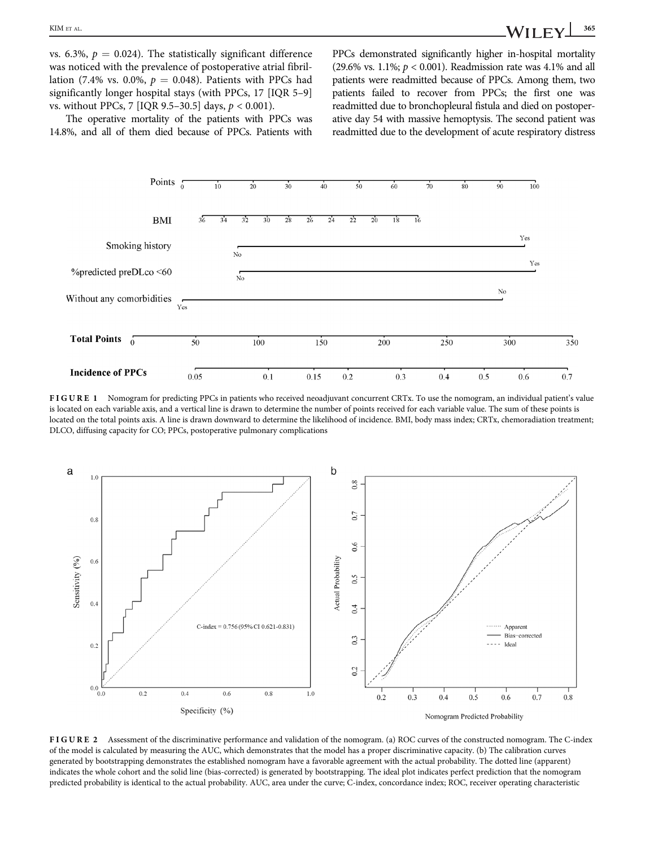vs. 6.3%,  $p = 0.024$ ). The statistically significant difference was noticed with the prevalence of postoperative atrial fibrillation (7.4% vs. 0.0%,  $p = 0.048$ ). Patients with PPCs had significantly longer hospital stays (with PPCs, 17 [IQR 5–9] vs. without PPCs, 7 [IQR 9.5-30.5] days,  $p < 0.001$ ).

PPCs demonstrated significantly higher in-hospital mortality (29.6% vs. 1.1%;  $p < 0.001$ ). Readmission rate was 4.1% and all patients were readmitted because of PPCs. Among them, two patients failed to recover from PPCs; the first one was readmitted due to bronchopleural fistula and died on postoperative day 54 with massive hemoptysis. The second patient was readmitted due to the development of acute respiratory distress

The operative mortality of the patients with PPCs was 14.8%, and all of them died because of PPCs. Patients with



FIGURE 1 Nomogram for predicting PPCs in patients who received neoadjuvant concurrent CRTx. To use the nomogram, an individual patient's value is located on each variable axis, and a vertical line is drawn to determine the number of points received for each variable value. The sum of these points is located on the total points axis. A line is drawn downward to determine the likelihood of incidence. BMI, body mass index; CRTx, chemoradiation treatment; DLCO, diffusing capacity for CO; PPCs, postoperative pulmonary complications



FIGURE 2 Assessment of the discriminative performance and validation of the nomogram. (a) ROC curves of the constructed nomogram. The C-index of the model is calculated by measuring the AUC, which demonstrates that the model has a proper discriminative capacity. (b) The calibration curves generated by bootstrapping demonstrates the established nomogram have a favorable agreement with the actual probability. The dotted line (apparent) indicates the whole cohort and the solid line (bias-corrected) is generated by bootstrapping. The ideal plot indicates perfect prediction that the nomogram predicted probability is identical to the actual probability. AUC, area under the curve; C-index, concordance index; ROC, receiver operating characteristic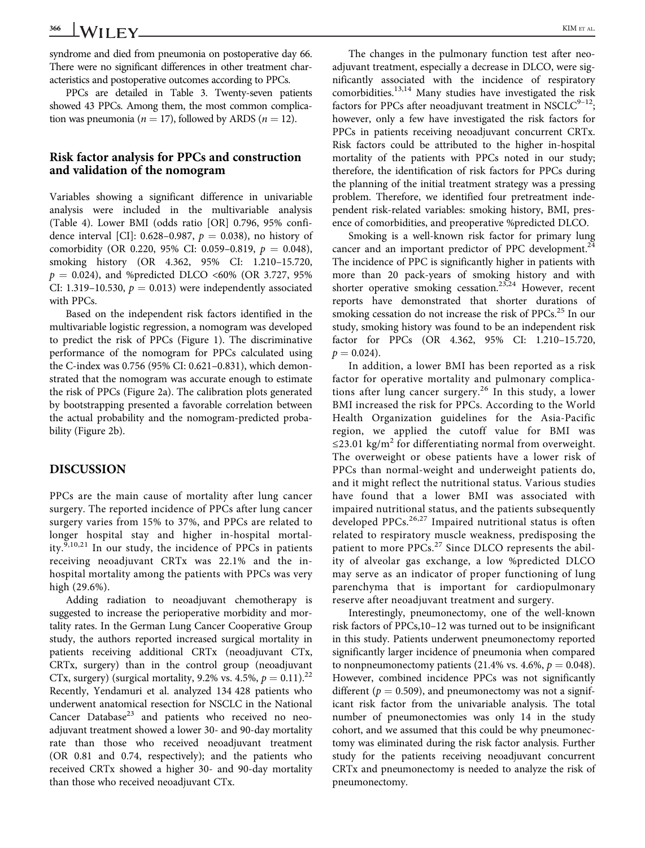syndrome and died from pneumonia on postoperative day 66. There were no significant differences in other treatment characteristics and postoperative outcomes according to PPCs.

PPCs are detailed in Table 3. Twenty-seven patients showed 43 PPCs. Among them, the most common complication was pneumonia ( $n = 17$ ), followed by ARDS ( $n = 12$ ).

#### Risk factor analysis for PPCs and construction and validation of the nomogram

Variables showing a significant difference in univariable analysis were included in the multivariable analysis (Table 4). Lower BMI (odds ratio [OR] 0.796, 95% confidence interval [CI]: 0.628–0.987,  $p = 0.038$ ), no history of comorbidity (OR 0.220, 95% CI: 0.059-0.819,  $p = 0.048$ ), smoking history (OR 4.362, 95% CI: 1.210–15.720,  $p = 0.024$ ), and %predicted DLCO <60% (OR 3.727, 95%) CI: 1.319–10.530,  $p = 0.013$ ) were independently associated with PPCs.

Based on the independent risk factors identified in the multivariable logistic regression, a nomogram was developed to predict the risk of PPCs (Figure 1). The discriminative performance of the nomogram for PPCs calculated using the C-index was 0.756 (95% CI: 0.621–0.831), which demonstrated that the nomogram was accurate enough to estimate the risk of PPCs (Figure 2a). The calibration plots generated by bootstrapping presented a favorable correlation between the actual probability and the nomogram-predicted probability (Figure 2b).

#### DISCUSSION

PPCs are the main cause of mortality after lung cancer surgery. The reported incidence of PPCs after lung cancer surgery varies from 15% to 37%, and PPCs are related to longer hospital stay and higher in-hospital mortality. $9,10,21$  In our study, the incidence of PPCs in patients receiving neoadjuvant CRTx was 22.1% and the inhospital mortality among the patients with PPCs was very high (29.6%).

Adding radiation to neoadjuvant chemotherapy is suggested to increase the perioperative morbidity and mortality rates. In the German Lung Cancer Cooperative Group study, the authors reported increased surgical mortality in patients receiving additional CRTx (neoadjuvant CTx, CRTx, surgery) than in the control group (neoadjuvant CTx, surgery) (surgical mortality, 9.2% vs. 4.5%,  $p = 0.11$ ).<sup>22</sup> Recently, Yendamuri et al. analyzed 134 428 patients who underwent anatomical resection for NSCLC in the National Cancer Database $^{23}$  and patients who received no neoadjuvant treatment showed a lower 30- and 90-day mortality rate than those who received neoadjuvant treatment (OR 0.81 and 0.74, respectively); and the patients who received CRTx showed a higher 30- and 90-day mortality than those who received neoadjuvant CTx.

The changes in the pulmonary function test after neoadjuvant treatment, especially a decrease in DLCO, were significantly associated with the incidence of respiratory comorbidities.13,14 Many studies have investigated the risk factors for PPCs after neoadjuvant treatment in NSCLC $9-12$ ; however, only a few have investigated the risk factors for PPCs in patients receiving neoadjuvant concurrent CRTx. Risk factors could be attributed to the higher in-hospital mortality of the patients with PPCs noted in our study; therefore, the identification of risk factors for PPCs during the planning of the initial treatment strategy was a pressing problem. Therefore, we identified four pretreatment independent risk-related variables: smoking history, BMI, presence of comorbidities, and preoperative %predicted DLCO.

Smoking is a well-known risk factor for primary lung cancer and an important predictor of PPC development.<sup>24</sup> The incidence of PPC is significantly higher in patients with more than 20 pack-years of smoking history and with shorter operative smoking cessation.<sup>23,24</sup> However, recent reports have demonstrated that shorter durations of smoking cessation do not increase the risk of PPCs.<sup>25</sup> In our study, smoking history was found to be an independent risk factor for PPCs (OR 4.362, 95% CI: 1.210–15.720,  $p = 0.024$ .

In addition, a lower BMI has been reported as a risk factor for operative mortality and pulmonary complications after lung cancer surgery.<sup>26</sup> In this study, a lower BMI increased the risk for PPCs. According to the World Health Organization guidelines for the Asia-Pacific region, we applied the cutoff value for BMI was ≤23.01 kg/m<sup>2</sup> for differentiating normal from overweight. The overweight or obese patients have a lower risk of PPCs than normal-weight and underweight patients do, and it might reflect the nutritional status. Various studies have found that a lower BMI was associated with impaired nutritional status, and the patients subsequently developed PPCs.<sup>26,27</sup> Impaired nutritional status is often related to respiratory muscle weakness, predisposing the patient to more PPCs.<sup>27</sup> Since DLCO represents the ability of alveolar gas exchange, a low %predicted DLCO may serve as an indicator of proper functioning of lung parenchyma that is important for cardiopulmonary reserve after neoadjuvant treatment and surgery.

Interestingly, pneumonectomy, one of the well-known risk factors of PPCs,10–12 was turned out to be insignificant in this study. Patients underwent pneumonectomy reported significantly larger incidence of pneumonia when compared to nonpneumonectomy patients (21.4% vs. 4.6%,  $p = 0.048$ ). However, combined incidence PPCs was not significantly different ( $p = 0.509$ ), and pneumonectomy was not a significant risk factor from the univariable analysis. The total number of pneumonectomies was only 14 in the study cohort, and we assumed that this could be why pneumonectomy was eliminated during the risk factor analysis. Further study for the patients receiving neoadjuvant concurrent CRTx and pneumonectomy is needed to analyze the risk of pneumonectomy.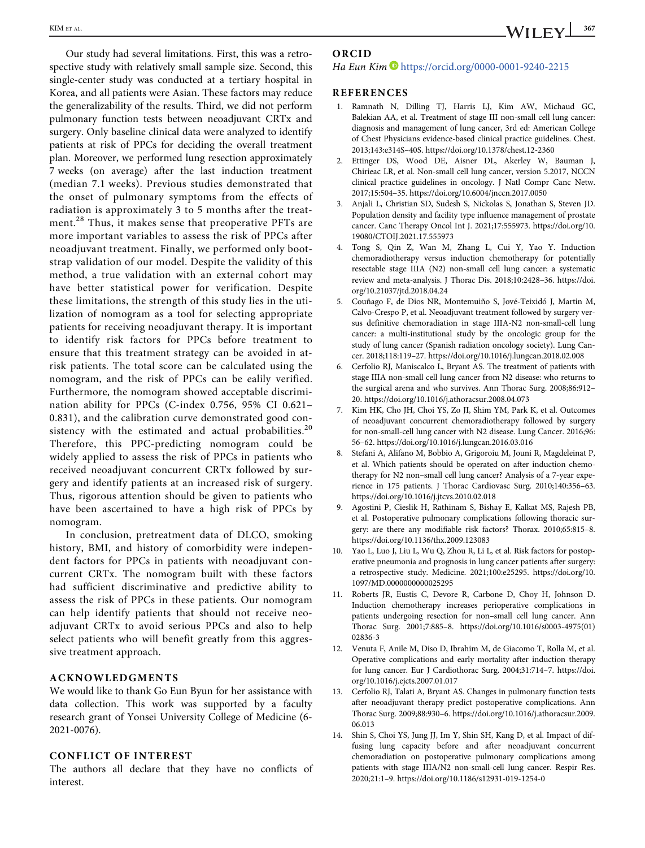Our study had several limitations. First, this was a retrospective study with relatively small sample size. Second, this single-center study was conducted at a tertiary hospital in Korea, and all patients were Asian. These factors may reduce the generalizability of the results. Third, we did not perform pulmonary function tests between neoadjuvant CRTx and surgery. Only baseline clinical data were analyzed to identify patients at risk of PPCs for deciding the overall treatment plan. Moreover, we performed lung resection approximately 7 weeks (on average) after the last induction treatment (median 7.1 weeks). Previous studies demonstrated that the onset of pulmonary symptoms from the effects of radiation is approximately 3 to 5 months after the treatment.<sup>28</sup> Thus, it makes sense that preoperative PFTs are more important variables to assess the risk of PPCs after neoadjuvant treatment. Finally, we performed only bootstrap validation of our model. Despite the validity of this method, a true validation with an external cohort may have better statistical power for verification. Despite these limitations, the strength of this study lies in the utilization of nomogram as a tool for selecting appropriate patients for receiving neoadjuvant therapy. It is important to identify risk factors for PPCs before treatment to ensure that this treatment strategy can be avoided in atrisk patients. The total score can be calculated using the nomogram, and the risk of PPCs can be ealily verified. Furthermore, the nomogram showed acceptable discrimination ability for PPCs (C-index 0.756, 95% CI 0.621– 0.831), and the calibration curve demonstrated good consistency with the estimated and actual probabilities.<sup>20</sup> Therefore, this PPC-predicting nomogram could be widely applied to assess the risk of PPCs in patients who received neoadjuvant concurrent CRTx followed by surgery and identify patients at an increased risk of surgery. Thus, rigorous attention should be given to patients who have been ascertained to have a high risk of PPCs by nomogram.

In conclusion, pretreatment data of DLCO, smoking history, BMI, and history of comorbidity were independent factors for PPCs in patients with neoadjuvant concurrent CRTx. The nomogram built with these factors had sufficient discriminative and predictive ability to assess the risk of PPCs in these patients. Our nomogram can help identify patients that should not receive neoadjuvant CRTx to avoid serious PPCs and also to help select patients who will benefit greatly from this aggressive treatment approach.

#### ACKNOWLEDGMENTS

We would like to thank Go Eun Byun for her assistance with data collection. This work was supported by a faculty research grant of Yonsei University College of Medicine (6- 2021-0076).

#### CONFLICT OF INTEREST

The authors all declare that they have no conflicts of interest.

#### ORCID

#### Ha Eun Kim D<https://orcid.org/0000-0001-9240-2215>

#### REFERENCES

- 1. Ramnath N, Dilling TJ, Harris LJ, Kim AW, Michaud GC, Balekian AA, et al. Treatment of stage III non-small cell lung cancer: diagnosis and management of lung cancer, 3rd ed: American College of Chest Physicians evidence-based clinical practice guidelines. Chest. 2013;143:e314S–40S.<https://doi.org/10.1378/chest.12-2360>
- 2. Ettinger DS, Wood DE, Aisner DL, Akerley W, Bauman J, Chirieac LR, et al. Non-small cell lung cancer, version 5.2017, NCCN clinical practice guidelines in oncology. J Natl Compr Canc Netw. 2017;15:504–35.<https://doi.org/10.6004/jnccn.2017.0050>
- 3. Anjali L, Christian SD, Sudesh S, Nickolas S, Jonathan S, Steven JD. Population density and facility type influence management of prostate cancer. Canc Therapy Oncol Int J. 2021;17:555973. [https://doi.org/10.](https://doi.org/10.19080/CTOIJ.2021.17.555973) [19080/CTOIJ.2021.17.555973](https://doi.org/10.19080/CTOIJ.2021.17.555973)
- 4. Tong S, Qin Z, Wan M, Zhang L, Cui Y, Yao Y. Induction chemoradiotherapy versus induction chemotherapy for potentially resectable stage IIIA (N2) non-small cell lung cancer: a systematic review and meta-analysis. J Thorac Dis. 2018;10:2428–36. [https://doi.](https://doi.org/10.21037/jtd.2018.04.24) [org/10.21037/jtd.2018.04.24](https://doi.org/10.21037/jtd.2018.04.24)
- 5. Couñago F, de Dios NR, Montemuiño S, Jové-Teixidó J, Martin M, Calvo-Crespo P, et al. Neoadjuvant treatment followed by surgery versus definitive chemoradiation in stage IIIA-N2 non-small-cell lung cancer: a multi-institutional study by the oncologic group for the study of lung cancer (Spanish radiation oncology society). Lung Cancer. 2018;118:119–27.<https://doi.org/10.1016/j.lungcan.2018.02.008>
- 6. Cerfolio RJ, Maniscalco L, Bryant AS. The treatment of patients with stage IIIA non-small cell lung cancer from N2 disease: who returns to the surgical arena and who survives. Ann Thorac Surg. 2008;86:912– 20.<https://doi.org/10.1016/j.athoracsur.2008.04.073>
- 7. Kim HK, Cho JH, Choi YS, Zo JI, Shim YM, Park K, et al. Outcomes of neoadjuvant concurrent chemoradiotherapy followed by surgery for non-small-cell lung cancer with N2 disease. Lung Cancer. 2016;96: 56–62.<https://doi.org/10.1016/j.lungcan.2016.03.016>
- 8. Stefani A, Alifano M, Bobbio A, Grigoroiu M, Jouni R, Magdeleinat P, et al. Which patients should be operated on after induction chemotherapy for N2 non–small cell lung cancer? Analysis of a 7-year experience in 175 patients. J Thorac Cardiovasc Surg. 2010;140:356–63. <https://doi.org/10.1016/j.jtcvs.2010.02.018>
- 9. Agostini P, Cieslik H, Rathinam S, Bishay E, Kalkat MS, Rajesh PB, et al. Postoperative pulmonary complications following thoracic surgery: are there any modifiable risk factors? Thorax. 2010;65:815–8. <https://doi.org/10.1136/thx.2009.123083>
- 10. Yao L, Luo J, Liu L, Wu Q, Zhou R, Li L, et al. Risk factors for postoperative pneumonia and prognosis in lung cancer patients after surgery: a retrospective study. Medicine. 2021;100:e25295. [https://doi.org/10.](https://doi.org/10.1097/MD.0000000000025295) [1097/MD.0000000000025295](https://doi.org/10.1097/MD.0000000000025295)
- 11. Roberts JR, Eustis C, Devore R, Carbone D, Choy H, Johnson D. Induction chemotherapy increases perioperative complications in patients undergoing resection for non–small cell lung cancer. Ann Thorac Surg. 2001;7:885–8. [https://doi.org/10.1016/s0003-4975\(01\)](https://doi.org/10.1016/s0003-4975(01)02836-3) [02836-3](https://doi.org/10.1016/s0003-4975(01)02836-3)
- 12. Venuta F, Anile M, Diso D, Ibrahim M, de Giacomo T, Rolla M, et al. Operative complications and early mortality after induction therapy for lung cancer. Eur J Cardiothorac Surg. 2004;31:714–7. [https://doi.](https://doi.org/10.1016/j.ejcts.2007.01.017) [org/10.1016/j.ejcts.2007.01.017](https://doi.org/10.1016/j.ejcts.2007.01.017)
- 13. Cerfolio RJ, Talati A, Bryant AS. Changes in pulmonary function tests after neoadjuvant therapy predict postoperative complications. Ann Thorac Surg. 2009;88:930–6. [https://doi.org/10.1016/j.athoracsur.2009.](https://doi.org/10.1016/j.athoracsur.2009.06.013) [06.013](https://doi.org/10.1016/j.athoracsur.2009.06.013)
- 14. Shin S, Choi YS, Jung JJ, Im Y, Shin SH, Kang D, et al. Impact of diffusing lung capacity before and after neoadjuvant concurrent chemoradiation on postoperative pulmonary complications among patients with stage IIIA/N2 non-small-cell lung cancer. Respir Res. 2020;21:1–9.<https://doi.org/10.1186/s12931-019-1254-0>